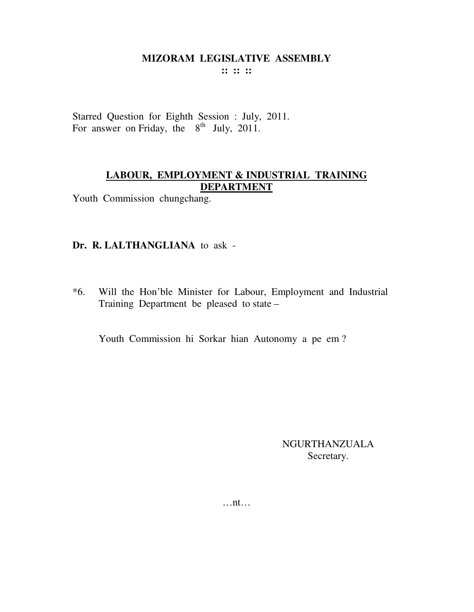:: :: ::

Starred Question for Eighth Session : July, 2011. For answer on Friday, the 8<sup>th</sup> July, 2011.

## LABOUR, EMPLOYMENT & INDUSTRIAL TRAINING **DEPARTMENT**

Youth Commission chungchang.

#### Dr. R. LALTHANGLIANA to ask -

 $*6.$ Will the Hon'ble Minister for Labour, Employment and Industrial Training Department be pleased to state –

Youth Commission hi Sorkar hian Autonomy a pe em?

**NGURTHANZUALA** Secretary.

 $\dots$ nt $\dots$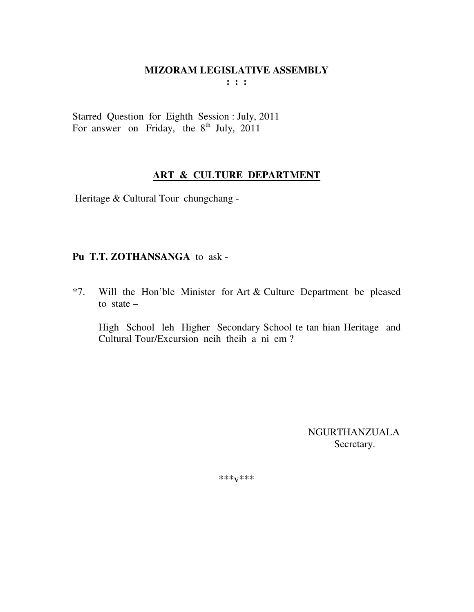$\mathbf{1}$  :  $\mathbf{1}$ 

Starred Question for Eighth Session : July, 2011<br>For answer on Friday, the 8<sup>th</sup> July, 2011

### ART & CULTURE DEPARTMENT

Heritage & Cultural Tour chungchang -

# Pu T.T. ZOTHANSANGA to ask -

 $*7.$ Will the Hon'ble Minister for Art & Culture Department be pleased to state  $-$ 

High School leh Higher Secondary School te tan hian Heritage and Cultural Tour/Excursion neih theih a ni em?

> **NGURTHANZUALA** Secretary.

\*\*\* $V$ \*\*\*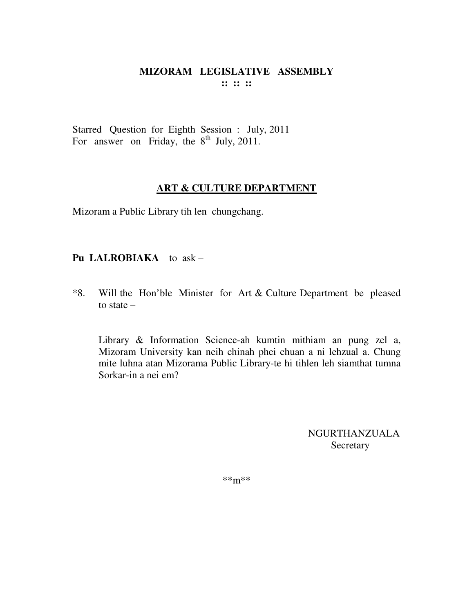#### **MIZORAM LEGISLATIVE ASSEMBLY :: :: ::**

Starred Question for Eighth Session : July, 2011 For answer on Friday, the  $8<sup>th</sup>$  July, 2011.

#### **ART & CULTURE DEPARTMENT**

Mizoram a Public Library tih len chungchang.

### **Pu LALROBIAKA** to ask –

\*8. Will the Hon'ble Minister for Art & Culture Department be pleased to state –

 Library & Information Science-ah kumtin mithiam an pung zel a, Mizoram University kan neih chinah phei chuan a ni lehzual a. Chung mite luhna atan Mizorama Public Library-te hi tihlen leh siamthat tumna Sorkar-in a nei em?

> NGURTHANZUALA Secretary

\*\*m\*\*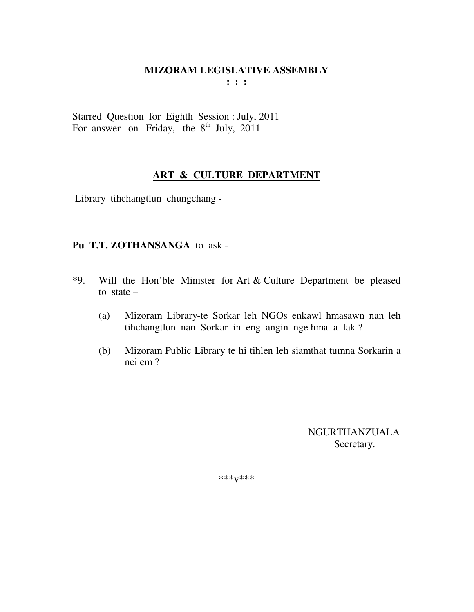**: : :** 

Starred Question for Eighth Session : July, 2011 For answer on Friday, the  $8^{th}$  July, 2011

## **ART & CULTURE DEPARTMENT**

Library tihchangtlun chungchang -

#### **Pu T.T. ZOTHANSANGA** to ask -

- \*9. Will the Hon'ble Minister for Art & Culture Department be pleased to state –
	- (a) Mizoram Library-te Sorkar leh NGOs enkawl hmasawn nan leh tihchangtlun nan Sorkar in eng angin nge hma a lak ?
	- (b) Mizoram Public Library te hi tihlen leh siamthat tumna Sorkarin a nei em ?

 NGURTHANZUALA Secretary.

\*\*\*v\*\*\*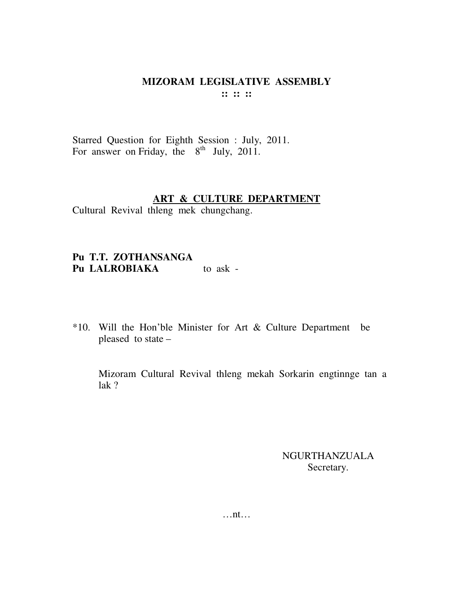### **MIZORAM LEGISLATIVE ASSEMBLY :: :: ::**

Starred Question for Eighth Session : July, 2011. For answer on Friday, the  $8<sup>th</sup>$  July, 2011.

#### **ART & CULTURE DEPARTMENT**

Cultural Revival thleng mek chungchang.

# **Pu T.T. ZOTHANSANGA**  Pu LALROBIAKA to ask -

\*10. Will the Hon'ble Minister for Art & Culture Department be pleased to state –

 Mizoram Cultural Revival thleng mekah Sorkarin engtinnge tan a lak ?

### NGURTHANZUALA Secretary.

…nt…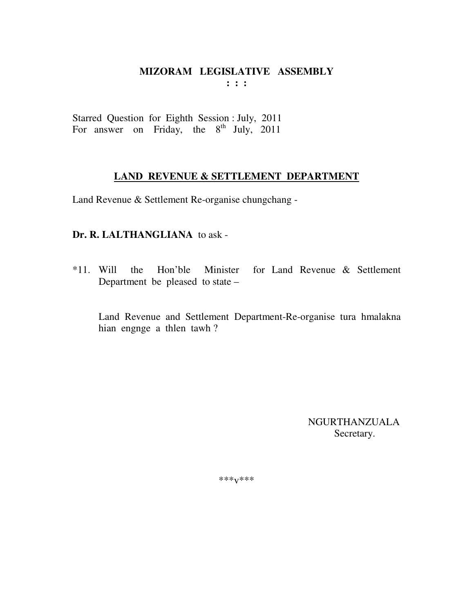**: : :** 

Starred Question for Eighth Session : July, 2011 For answer on Friday, the  $8^{th}$  July, 2011

#### **LAND REVENUE & SETTLEMENT DEPARTMENT**

Land Revenue & Settlement Re-organise chungchang -

# **Dr. R. LALTHANGLIANA** to ask -

\*11. Will the Hon'ble Minister for Land Revenue & Settlement Department be pleased to state –

 Land Revenue and Settlement Department-Re-organise tura hmalakna hian engnge a thlen tawh ?

> NGURTHANZUALA Secretary.

\*\*\*v\*\*\*